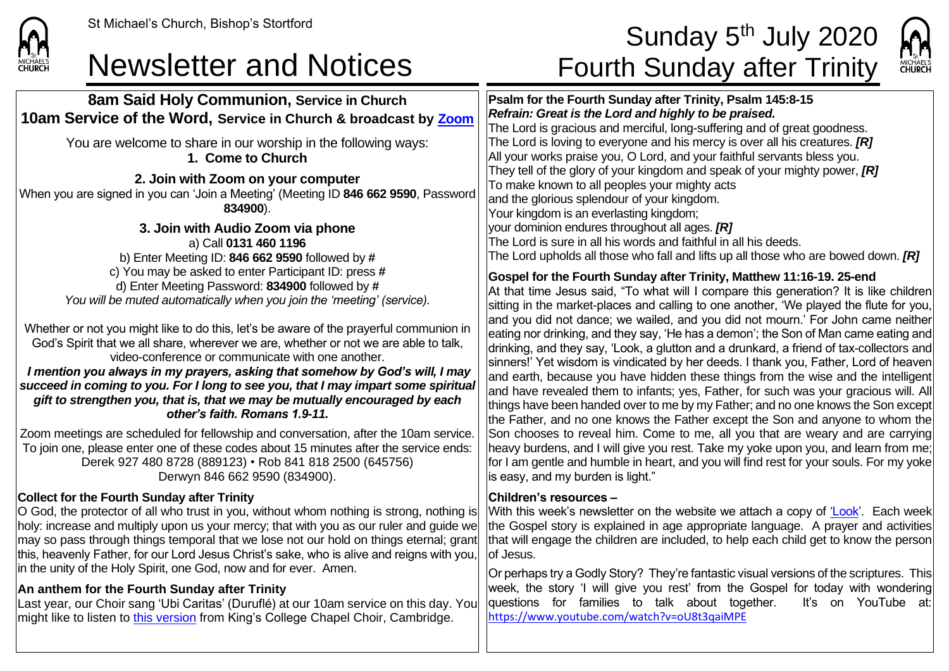

**8am Said Holy Communion, Service in Church 10am Service of the Word, Service in Church & broadcast by [Zoom](https://zoom.us/)**

# St Michael's Church, Bishop's Stortford state of the set of the set of the Sunday 5<sup>th</sup> July 2020 Newsletter and Notices Fourth Sunday after Trinity



**Psalm for the Fourth Sunday after Trinity, Psalm 145:8-15** *Refrain: Great is the Lord and highly to be praised.* The Lord is gracious and merciful, long-suffering and of great goodness. The Lord is loving to everyone and his mercy is over all his creatures. *[R]* All your works praise you, O Lord, and your faithful servants bless you. They tell of the glory of your kingdom and speak of your mighty power, *[R]* To make known to all peoples your mighty acts and the glorious splendour of your kingdom. Your kingdom is an everlasting kingdom; your dominion endures throughout all ages. *[R]* The Lord is sure in all his words and faithful in all his deeds. The Lord upholds all those who fall and lifts up all those who are bowed down. *[R]*

## **Gospel for the Fourth Sunday after Trinity, Matthew 11:16-19. 25-end**

At that time Jesus said, "To what will I compare this generation? It is like children sitting in the market-places and calling to one another, 'We played the flute for you, and you did not dance; we wailed, and you did not mourn.' For John came neither eating nor drinking, and they say, 'He has a demon'; the Son of Man came eating and drinking, and they say, 'Look, a glutton and a drunkard, a friend of tax-collectors and sinners!' Yet wisdom is vindicated by her deeds. I thank you, Father, Lord of heaven and earth, because you have hidden these things from the wise and the intelligent and have revealed them to infants; yes, Father, for such was your gracious will. All things have been handed over to me by my Father; and no one knows the Son except the Father, and no one knows the Father except the Son and anyone to whom the Son chooses to reveal him. Come to me, all you that are weary and are carrying heavy burdens, and I will give you rest. Take my yoke upon you, and learn from me; for I am gentle and humble in heart, and you will find rest for your souls. For my yoke is easy, and my burden is light."

### **Children's resources –**

With this week's newsletter on the website we attach a copy of ['Look'.](https://saintmichaelweb.org.uk/Articles/542815/_Newsletter.aspx) Each week the Gospel story is explained in age appropriate language. A prayer and activities that will engage the children are included, to help each child get to know the person of Jesus.

Or perhaps try a Godly Story? They're fantastic visual versions of the scriptures. This week, the story 'I will give you rest' from the Gospel for today with wondering questions for families to talk about together. It's on YouTube at: <https://www.youtube.com/watch?v=oU8t3qaiMPE>

You are welcome to share in our worship in the following ways: **1. Come to Church 2. Join with Zoom on your computer** When you are signed in you can 'Join a Meeting' (Meeting ID **846 662 9590**, Password **834900**). **3. Join with Audio Zoom via phone** a) Call **0131 460 1196** b) Enter Meeting ID: **846 662 9590** followed by **#** c) You may be asked to enter Participant ID: press **#** d) Enter Meeting Password: **834900** followed by **#** *You will be muted automatically when you join the 'meeting' (service).*

Whether or not you might like to do this, let's be aware of the prayerful communion in God's Spirit that we all share, wherever we are, whether or not we are able to talk, video-conference or communicate with one another.

*I mention you always in my prayers, asking that somehow by God's will, I may succeed in coming to you. For I long to see you, that I may impart some spiritual gift to strengthen you, that is, that we may be mutually encouraged by each other's faith. Romans 1.9-11.*

Zoom meetings are scheduled for fellowship and conversation, after the 10am service. To join one, please enter one of these codes about 15 minutes after the service ends: Derek 927 480 8728 (889123) • Rob 841 818 2500 (645756) Derwyn 846 662 9590 (834900).

# **Collect for the Fourth Sunday after Trinity**

O God, the protector of all who trust in you, without whom nothing is strong, nothing is holy: increase and multiply upon us your mercy; that with you as our ruler and guide we may so pass through things temporal that we lose not our hold on things eternal; grant this, heavenly Father, for our Lord Jesus Christ's sake, who is alive and reigns with you, in the unity of the Holy Spirit, one God, now and for ever. Amen.

# **An anthem for the Fourth Sunday after Trinity**

Last year, our Choir sang 'Ubi Caritas' (Duruflé) at our 10am service on this day. You might like to listen to [this version](https://www.youtube.com/watch?v=2-LQve92U1o) from King's College Chapel Choir, Cambridge.